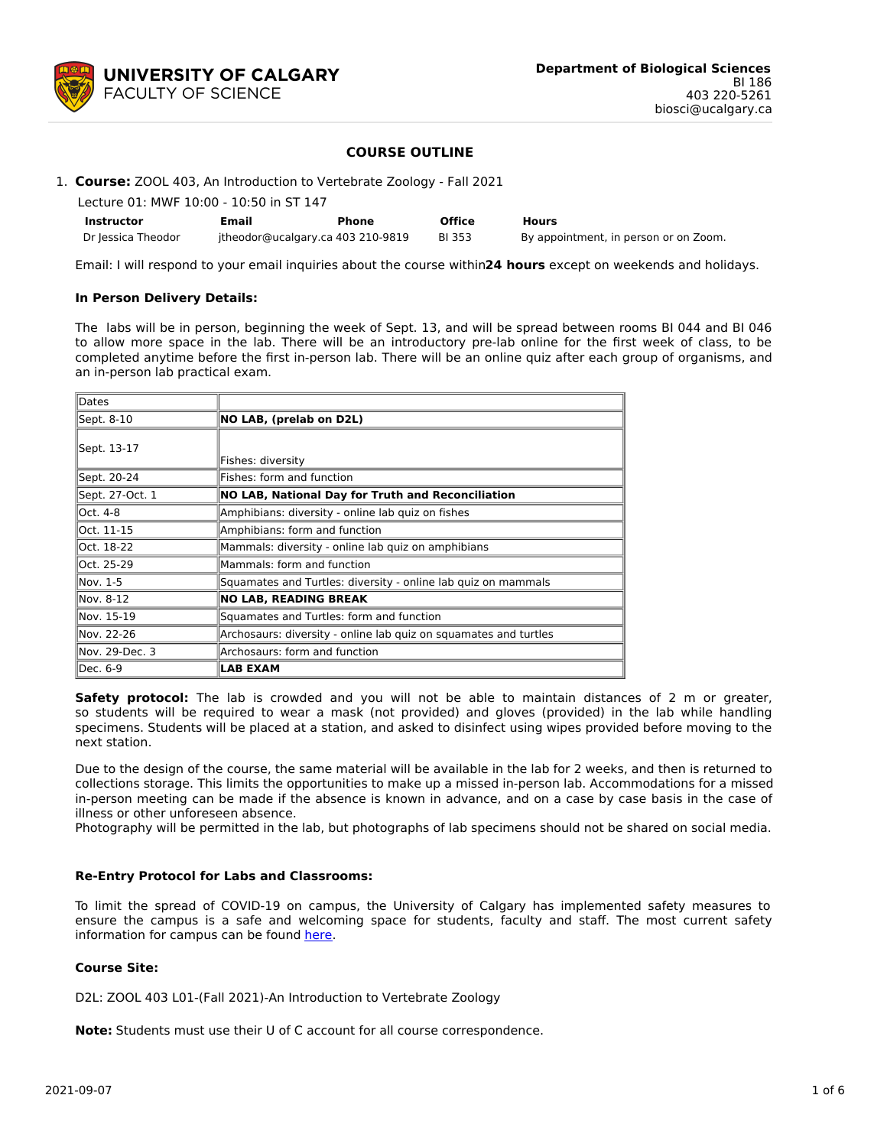

## **COURSE OUTLINE**

| Instructor                                                             | Email | Phone | <b>Office</b> | <b>Hours</b> |  |  |  |
|------------------------------------------------------------------------|-------|-------|---------------|--------------|--|--|--|
| Lecture 01: MWF 10:00 - 10:50 in ST 147                                |       |       |               |              |  |  |  |
| 1. Course: ZOOL 403, An Introduction to Vertebrate Zoology - Fall 2021 |       |       |               |              |  |  |  |

Dr Jessica Theodor itheodor@ucalgary.ca 403 210-9819 BI 353 By appointment, in person or on Zoom.

Email: I will respond to your email inquiries about the course within**24 hours** except on weekends and holidays.

#### **In Person Delivery Details:**

The labs will be in person, beginning the week of Sept. 13, and will be spread between rooms BI 044 and BI 046 to allow more space in the lab. There will be an introductory pre-lab online for the first week of class, to be completed anytime before the first in-person lab. There will be an online quiz after each group of organisms, and an in-person lab practical exam.

| Dates           |                                                                  |  |  |  |  |  |
|-----------------|------------------------------------------------------------------|--|--|--|--|--|
| Sept. 8-10      | NO LAB, (prelab on D2L)                                          |  |  |  |  |  |
| Sept. 13-17     | Fishes: diversity                                                |  |  |  |  |  |
| Sept. 20-24     | Fishes: form and function                                        |  |  |  |  |  |
| Sept. 27-Oct. 1 | <b>NO LAB, National Day for Truth and Reconciliation</b>         |  |  |  |  |  |
| Oct. 4-8        | Amphibians: diversity - online lab quiz on fishes                |  |  |  |  |  |
| Oct. 11-15      | Amphibians: form and function                                    |  |  |  |  |  |
| Oct. 18-22      | Mammals: diversity - online lab quiz on amphibians               |  |  |  |  |  |
| Oct. 25-29      | Mammals: form and function                                       |  |  |  |  |  |
| lNov. 1-5       | Squamates and Turtles: diversity - online lab quiz on mammals    |  |  |  |  |  |
| Nov. 8-12       | <b>NO LAB, READING BREAK</b>                                     |  |  |  |  |  |
| Nov. 15-19      | Squamates and Turtles: form and function                         |  |  |  |  |  |
| Nov. 22-26      | Archosaurs: diversity - online lab quiz on squamates and turtles |  |  |  |  |  |
| lNov. 29-Dec. 3 | Archosaurs: form and function                                    |  |  |  |  |  |
| Dec. 6-9        | <b>LAB EXAM</b>                                                  |  |  |  |  |  |

**Safety protocol:** The lab is crowded and you will not be able to maintain distances of 2 m or greater, so students will be required to wear a mask (not provided) and gloves (provided) in the lab while handling specimens. Students will be placed at a station, and asked to disinfect using wipes provided before moving to the next station.

Due to the design of the course, the same material will be available in the lab for 2 weeks, and then is returned to collections storage. This limits the opportunities to make up a missed in-person lab. Accommodations for a missed in-person meeting can be made if the absence is known in advance, and on a case by case basis in the case of illness or other unforeseen absence.

Photography will be permitted in the lab, but photographs of lab specimens should not be shared on social media.

#### **Re-Entry Protocol for Labs and Classrooms:**

To limit the spread of COVID-19 on campus, the University of Calgary has implemented safety measures to ensure the campus is a safe and welcoming space for students, faculty and staff. The most current safety information for campus can be found [here](https://www.ucalgary.ca/risk/emergency-management/covid-19-response/return-campus-safety).

### **Course Site:**

D2L: ZOOL 403 L01-(Fall 2021)-An Introduction to Vertebrate Zoology

**Note:** Students must use their U of C account for all course correspondence.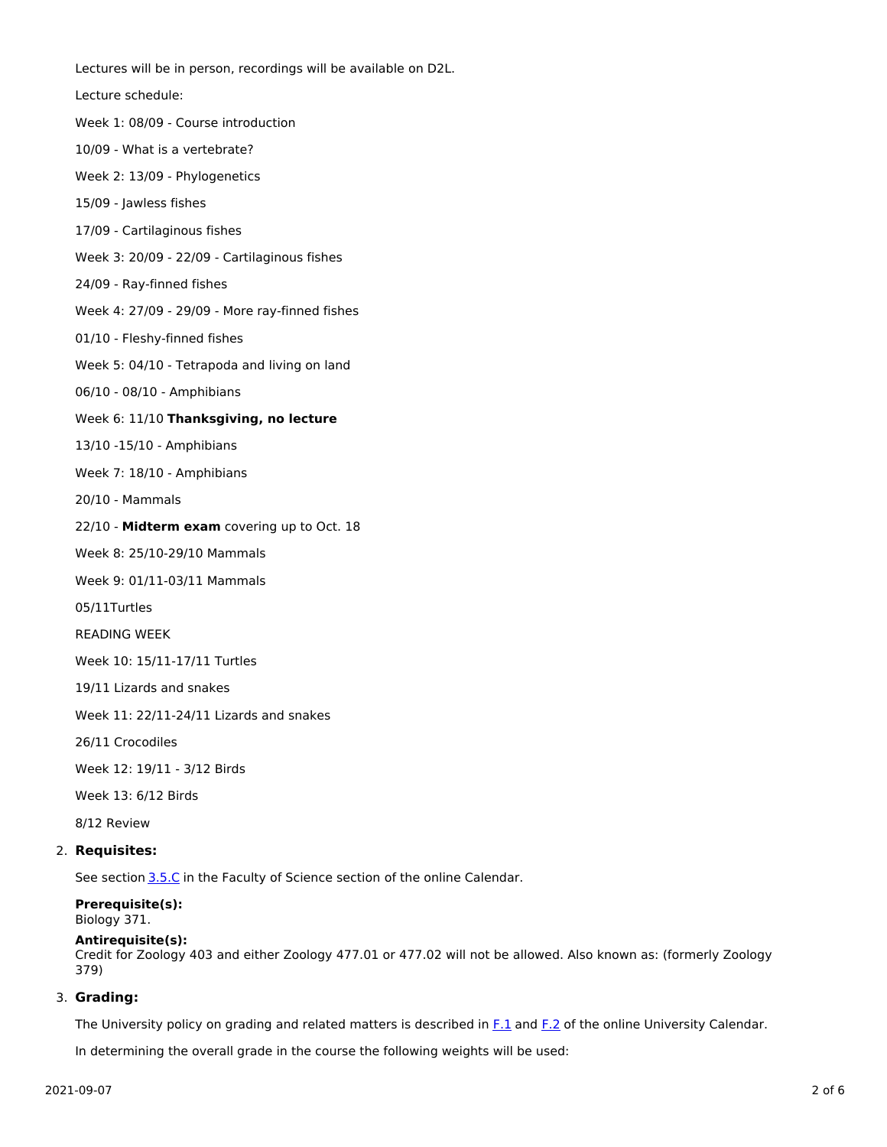Lectures will be in person, recordings will be available on D2L. Lecture schedule: Week 1: 08/09 - Course introduction 10/09 - What is a vertebrate? Week 2: 13/09 - Phylogenetics 15/09 - Jawless fishes 17/09 - Cartilaginous fishes Week 3: 20/09 - 22/09 - Cartilaginous fishes 24/09 - Ray-finned fishes Week 4: 27/09 - 29/09 - More ray-finned fishes 01/10 - Fleshy-finned fishes Week 5: 04/10 - Tetrapoda and living on land 06/10 - 08/10 - Amphibians Week 6: 11/10 **Thanksgiving, no lecture** 13/10 -15/10 - Amphibians Week 7: 18/10 - Amphibians 20/10 - Mammals 22/10 - **Midterm exam** covering up to Oct. 18 Week 8: 25/10-29/10 Mammals Week 9: 01/11-03/11 Mammals 05/11Turtles READING WEEK Week 10: 15/11-17/11 Turtles 19/11 Lizards and snakes Week 11: 22/11-24/11 Lizards and snakes 26/11 Crocodiles Week 12: 19/11 - 3/12 Birds Week 13: 6/12 Birds

8/12 Review

#### 2. **Requisites:**

See section [3.5.C](http://www.ucalgary.ca/pubs/calendar/current/sc-3-5.html) in the Faculty of Science section of the online Calendar.

# **Prerequisite(s):**

Biology 371.

#### **Antirequisite(s):**

Credit for Zoology 403 and either Zoology 477.01 or 477.02 will not be allowed. Also known as: (formerly Zoology 379)

#### 3. **Grading:**

The University policy on grading and related matters is described in [F.1](http://www.ucalgary.ca/pubs/calendar/current/f-1.html) and [F.2](http://www.ucalgary.ca/pubs/calendar/current/f-2.html) of the online University Calendar.

In determining the overall grade in the course the following weights will be used: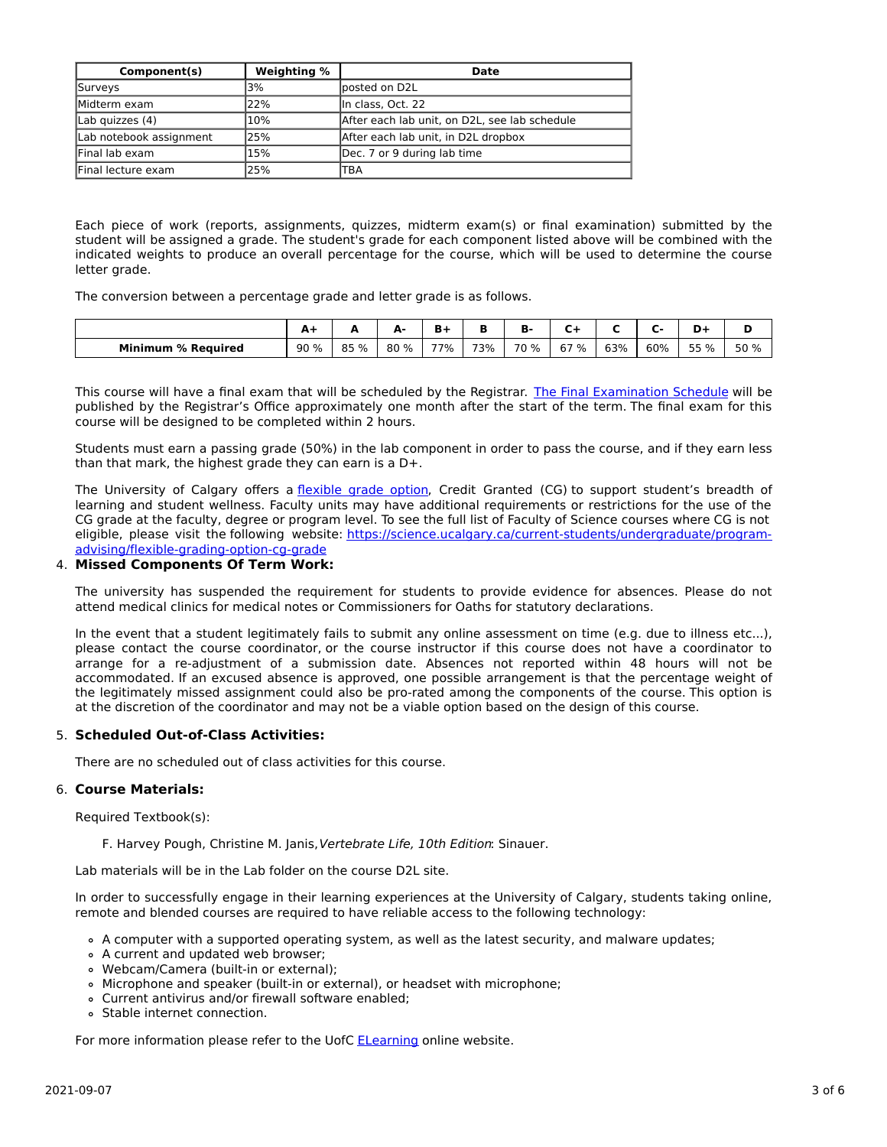| Component(s)            | Weighting % | Date                                          |
|-------------------------|-------------|-----------------------------------------------|
| Surveys                 | 3%          | lposted on D2L                                |
| Midterm exam            | 22%         | In class, Oct. 22                             |
| Lab quizzes $(4)$       | 10%         | After each lab unit, on D2L, see lab schedule |
| Lab notebook assignment | 25%         | After each lab unit, in D2L dropbox           |
| Final lab exam          | 15%         | Dec. 7 or 9 during lab time                   |
| Final lecture exam      | 25%         | TBA                                           |

Each piece of work (reports, assignments, quizzes, midterm exam(s) or final examination) submitted by the student will be assigned a grade. The student's grade for each component listed above will be combined with the indicated weights to produce an overall percentage for the course, which will be used to determine the course letter grade.

The conversion between a percentage grade and letter grade is as follows.

|                           | . .  |      | А.<br>- | $B +$ |     | в-   |         |     |     | -    |      |
|---------------------------|------|------|---------|-------|-----|------|---------|-----|-----|------|------|
| <b>Minimum % Required</b> | 90 % | 85 % | 80 %    | 77%   | 73% | 70 % | 67<br>% | 63% | 60% | 55 % | 50 % |

This course will have a final exam that will be scheduled by the Registrar. The Final [Examination](https://www.ucalgary.ca/registrar/exams) Schedule will be published by the Registrar's Office approximately one month after the start of the term. The final exam for this course will be designed to be completed within 2 hours.

Students must earn a passing grade (50%) in the lab component in order to pass the course, and if they earn less than that mark, the highest grade they can earn is a D+.

The University of Calgary offers a [flexible](https://www.ucalgary.ca/pubs/calendar/current/f-1-3.html) grade option, Credit Granted (CG) to support student's breadth of learning and student wellness. Faculty units may have additional requirements or restrictions for the use of the CG grade at the faculty, degree or program level. To see the full list of Faculty of Science courses where CG is not eligible, please visit the following website: [https://science.ucalgary.ca/current-students/undergraduate/program](https://science.ucalgary.ca/current-students/undergraduate/program-advising/flexible-grading-option-cg-grade)advising/flexible-grading-option-cg-grade

#### 4. **Missed Components Of Term Work:**

The university has suspended the requirement for students to provide evidence for absences. Please do not attend medical clinics for medical notes or Commissioners for Oaths for statutory declarations.

In the event that a student legitimately fails to submit any online assessment on time (e.g. due to illness etc...), please contact the course coordinator, or the course instructor if this course does not have a coordinator to arrange for a re-adjustment of a submission date. Absences not reported within 48 hours will not be accommodated. If an excused absence is approved, one possible arrangement is that the percentage weight of the legitimately missed assignment could also be pro-rated among the components of the course. This option is at the discretion of the coordinator and may not be a viable option based on the design of this course.

## 5. **Scheduled Out-of-Class Activities:**

There are no scheduled out of class activities for this course.

#### 6. **Course Materials:**

Required Textbook(s):

F. Harvey Pough, Christine M. Janis, Vertebrate Life, 10th Edition: Sinauer.

Lab materials will be in the Lab folder on the course D2L site.

In order to successfully engage in their learning experiences at the University of Calgary, students taking online, remote and blended courses are required to have reliable access to the following technology:

- A computer with a supported operating system, as well as the latest security, and malware updates;
- A current and updated web browser;
- Webcam/Camera (built-in or external);
- Microphone and speaker (built-in or external), or headset with microphone;
- Current antivirus and/or firewall software enabled;
- Stable internet connection.

For more information please refer to the UofC [ELearning](https://elearn.ucalgary.ca/technology-requirements-for-students) online website.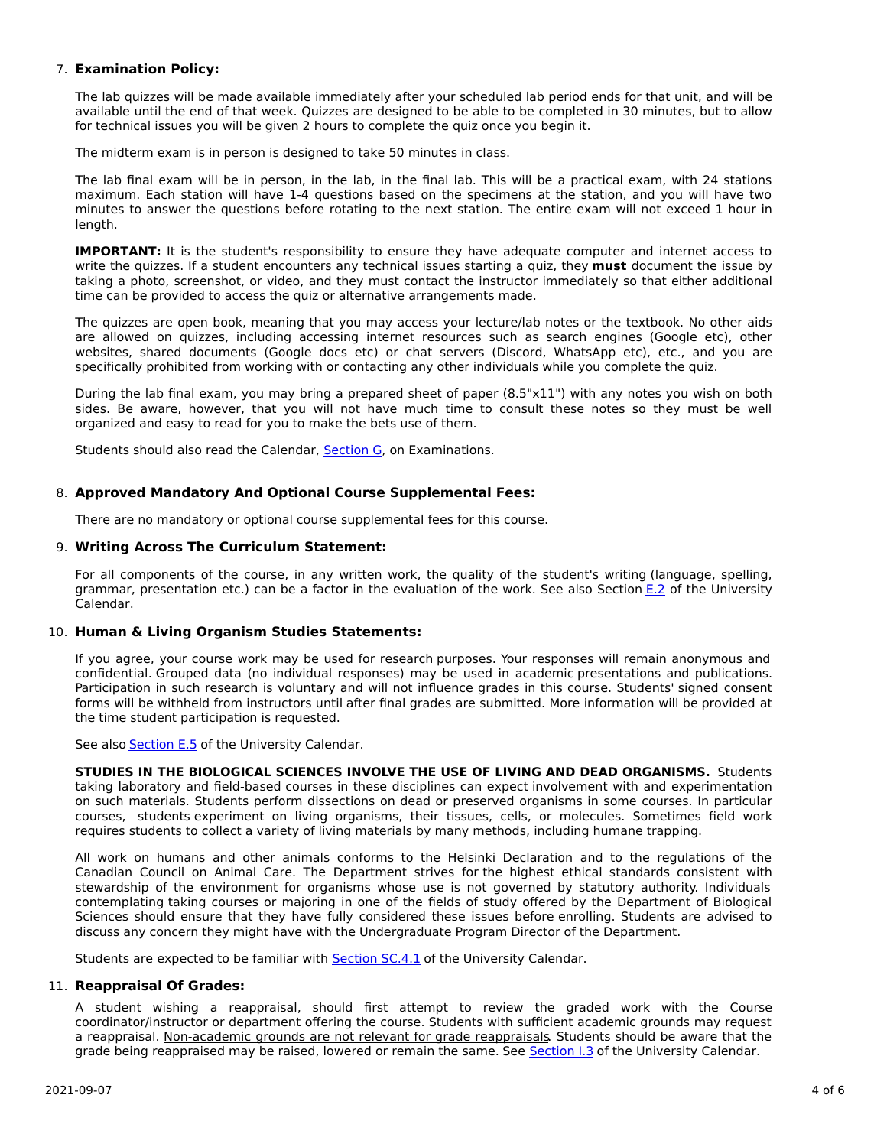## 7. **Examination Policy:**

The lab quizzes will be made available immediately after your scheduled lab period ends for that unit, and will be available until the end of that week. Quizzes are designed to be able to be completed in 30 minutes, but to allow for technical issues you will be given 2 hours to complete the quiz once you begin it.

The midterm exam is in person is designed to take 50 minutes in class.

The lab final exam will be in person, in the lab, in the final lab. This will be a practical exam, with 24 stations maximum. Each station will have 1-4 questions based on the specimens at the station, and you will have two minutes to answer the questions before rotating to the next station. The entire exam will not exceed 1 hour in length.

**IMPORTANT:** It is the student's responsibility to ensure they have adequate computer and internet access to write the quizzes. If a student encounters any technical issues starting a quiz, they **must** document the issue by taking a photo, screenshot, or video, and they must contact the instructor immediately so that either additional time can be provided to access the quiz or alternative arrangements made.

The quizzes are open book, meaning that you may access your lecture/lab notes or the textbook. No other aids are allowed on quizzes, including accessing internet resources such as search engines (Google etc), other websites, shared documents (Google docs etc) or chat servers (Discord, WhatsApp etc), etc., and you are specifically prohibited from working with or contacting any other individuals while you complete the quiz.

During the lab final exam, you may bring a prepared sheet of paper (8.5"x11") with any notes you wish on both sides. Be aware, however, that you will not have much time to consult these notes so they must be well organized and easy to read for you to make the bets use of them.

Students should also read the Calendar, [Section](http://www.ucalgary.ca/pubs/calendar/current/g.html) G, on Examinations.

## 8. **Approved Mandatory And Optional Course Supplemental Fees:**

There are no mandatory or optional course supplemental fees for this course.

## 9. **Writing Across The Curriculum Statement:**

For all components of the course, in any written work, the quality of the student's writing (language, spelling, grammar, presentation etc.) can be a factor in the evaluation of the work. See also Section [E.2](http://www.ucalgary.ca/pubs/calendar/current/e-2.html) of the University Calendar.

## 10. **Human & Living Organism Studies Statements:**

If you agree, your course work may be used for research purposes. Your responses will remain anonymous and confidential. Grouped data (no individual responses) may be used in academic presentations and publications. Participation in such research is voluntary and will not influence grades in this course. Students' signed consent forms will be withheld from instructors until after final grades are submitted. More information will be provided at the time student participation is requested.

See also **[Section](http://www.ucalgary.ca/pubs/calendar/current/e-5.html) E.5** of the University Calendar.

**STUDIES IN THE BIOLOGICAL SCIENCES INVOLVE THE USE OF LIVING AND DEAD ORGANISMS.** Students taking laboratory and field-based courses in these disciplines can expect involvement with and experimentation on such materials. Students perform dissections on dead or preserved organisms in some courses. In particular courses, students experiment on living organisms, their tissues, cells, or molecules. Sometimes field work requires students to collect a variety of living materials by many methods, including humane trapping.

All work on humans and other animals conforms to the Helsinki Declaration and to the regulations of the Canadian Council on Animal Care. The Department strives for the highest ethical standards consistent with stewardship of the environment for organisms whose use is not governed by statutory authority. Individuals contemplating taking courses or majoring in one of the fields of study offered by the Department of Biological Sciences should ensure that they have fully considered these issues before enrolling. Students are advised to discuss any concern they might have with the Undergraduate Program Director of the Department.

Students are expected to be familiar with [Section](http://www.ucalgary.ca/pubs/calendar/current/sc-4-1.html) SC.4.1 of the University Calendar.

## 11. **Reappraisal Of Grades:**

A student wishing a reappraisal, should first attempt to review the graded work with the Course coordinator/instructor or department offering the course. Students with sufficient academic grounds may request a reappraisal. Non-academic grounds are not relevant for grade reappraisals. Students should be aware that the grade being reappraised may be raised, lowered or remain the same. See [Section](http://www.ucalgary.ca/pubs/calendar/current/i-3.html) I.3 of the University Calendar.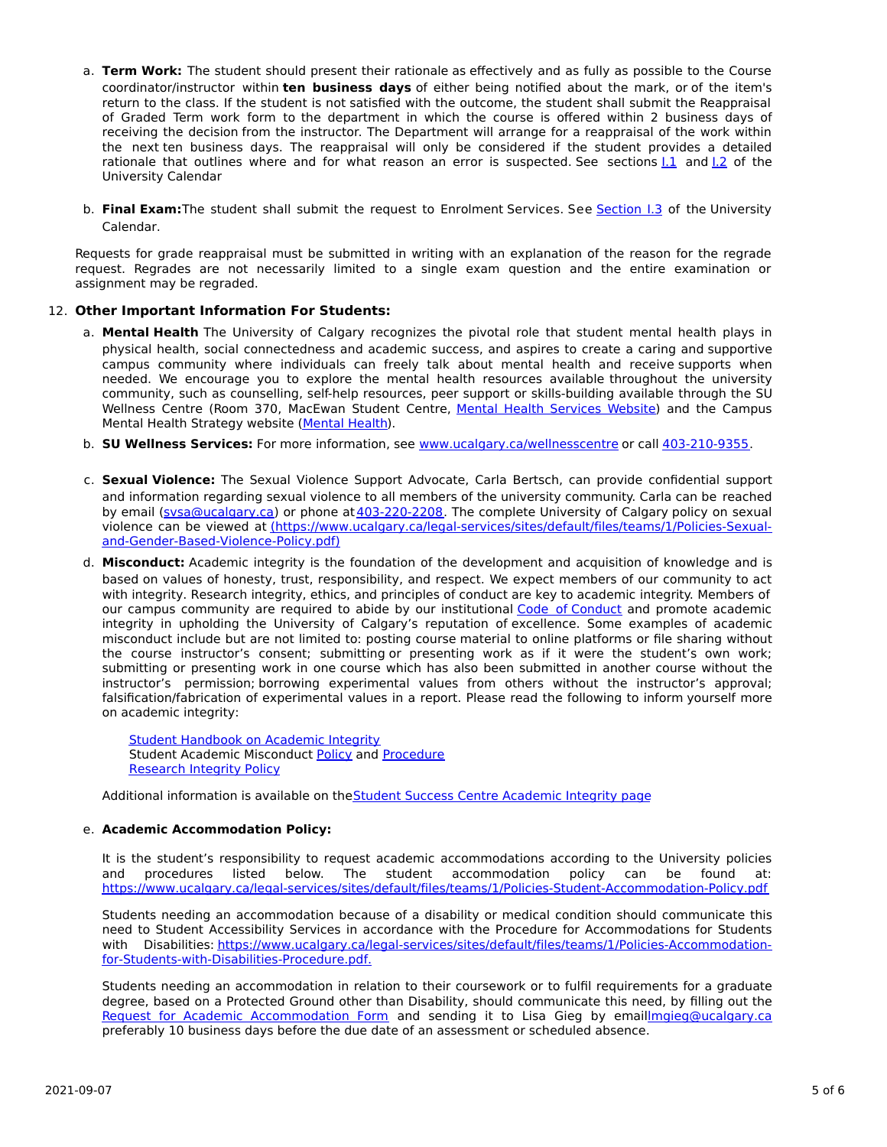- a. **Term Work:** The student should present their rationale as effectively and as fully as possible to the Course coordinator/instructor within **ten business days** of either being notified about the mark, or of the item's return to the class. If the student is not satisfied with the outcome, the student shall submit the Reappraisal of Graded Term work form to the department in which the course is offered within 2 business days of receiving the decision from the instructor. The Department will arrange for a reappraisal of the work within the next ten business days. The reappraisal will only be considered if the student provides a detailed rationale that outlines where and for what reason an error is suspected. See sections 1.1 and 1.2 of the University Calendar
- b. **Final Exam:**The student shall submit the request to Enrolment Services. See [Section](http://www.ucalgary.ca/pubs/calendar/current/i-3.html) I.3 of the University Calendar.

Requests for grade reappraisal must be submitted in writing with an explanation of the reason for the regrade request. Regrades are not necessarily limited to a single exam question and the entire examination or assignment may be regraded.

## 12. **Other Important Information For Students:**

- a. **Mental Health** The University of Calgary recognizes the pivotal role that student mental health plays in physical health, social connectedness and academic success, and aspires to create a caring and supportive campus community where individuals can freely talk about mental health and receive supports when needed. We encourage you to explore the mental health resources available throughout the university community, such as counselling, self-help resources, peer support or skills-building available through the SU Wellness Centre (Room 370, MacEwan Student Centre, Mental Health [Services](https://www.ucalgary.ca/wellnesscentre/services/mental-health-services) Website) and the Campus Mental Health Strategy website [\(Mental](http://www.ucalgary.ca/mentalhealth) Health).
- b. **SU Wellness Services:** For more information, see [www.ucalgary.ca/wellnesscentre](http://www.ucalgary.ca/wellnesscentre) or call [403-210-9355.](tel:4032109355)
- c. **Sexual Violence:** The Sexual Violence Support Advocate, Carla Bertsch, can provide confidential support and information regarding sexual violence to all members of the university community. Carla can be reached by email [\(svsa@ucalgary.ca](mailto:svsa@ucalgary.ca)) or phone at[403-220-2208](tel:4032202208). The complete University of Calgary policy on sexual violence can be viewed at [\(https://www.ucalgary.ca/legal-services/sites/default/files/teams/1/Policies-Sexual](https://www.ucalgary.ca/legal-services/sites/default/files/teams/1/Policies-Sexual-and-Gender-Based-Violence-Policy.pdf)and-Gender-Based-Violence-Policy.pdf)
- d. **Misconduct:** Academic integrity is the foundation of the development and acquisition of knowledge and is based on values of honesty, trust, responsibility, and respect. We expect members of our community to act with integrity. Research integrity, ethics, and principles of conduct are key to academic integrity. Members of our campus community are required to abide by our institutional Code of [Conduct](https://www.ucalgary.ca/legal-services/sites/default/files/teams/1/Policies-Code-of-Conduct.pdf) and promote academic integrity in upholding the University of Calgary's reputation of excellence. Some examples of academic misconduct include but are not limited to: posting course material to online platforms or file sharing without the course instructor's consent; submitting or presenting work as if it were the student's own work; submitting or presenting work in one course which has also been submitted in another course without the instructor's permission; borrowing experimental values from others without the instructor's approval; falsification/fabrication of experimental values in a report. Please read the following to inform yourself more on academic integrity:

**Student [Handbook](https://www.ucalgary.ca/live-uc-ucalgary-site/sites/default/files/teams/9/AI-Student-handbook-1.pdf) on Academic Integrity** Student Academic Misconduct [Policy](https://www.ucalgary.ca/legal-services/sites/default/files/teams/1/Policies-Student-Academic-Misconduct-Policy.pdf) and [Procedure](https://www.ucalgary.ca/legal-services/sites/default/files/teams/1/Policies-Student-Academic-Misconduct-Procedure.pdf) [Research](https://www.ucalgary.ca/legal-services/sites/default/files/teams/1/Policies-Research-Integrity-Policy.pdf) Integrity Policy

Additional information is available on the Student Success Centre [Academic](https://ucalgary.ca/student-services/student-success/learning/academic-integrity) Integrity page

## e. **Academic Accommodation Policy:**

It is the student's responsibility to request academic accommodations according to the University policies and procedures listed below. The student accommodation policy can be found at: <https://www.ucalgary.ca/legal-services/sites/default/files/teams/1/Policies-Student-Accommodation-Policy.pdf>

Students needing an accommodation because of a disability or medical condition should communicate this need to Student Accessibility Services in accordance with the Procedure for Accommodations for Students with Disabilities: [https://www.ucalgary.ca/legal-services/sites/default/files/teams/1/Policies-Accommodation](https://www.ucalgary.ca/legal-services/sites/default/files/teams/1/Policies-Accommodation-for-Students-with-Disabilities-Procedure.pdf)for-Students-with-Disabilities-Procedure.pdf.

Students needing an accommodation in relation to their coursework or to fulfil requirements for a graduate degree, based on a Protected Ground other than Disability, should communicate this need, by filling out the Request for Academic [Accommodation](https://science.ucalgary.ca/sites/default/files/teams/1/request-accommodation-academic-courses.pdf) Form and sending it to Lisa Gieg by emai[llmgieg@ucalgary.ca](mailto:lmgieg@ucalgary.ca) preferably 10 business days before the due date of an assessment or scheduled absence.